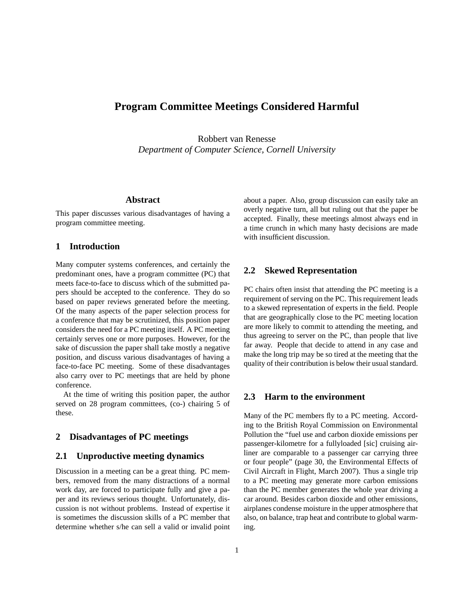# **Program Committee Meetings Considered Harmful**

Robbert van Renesse *Department of Computer Science, Cornell University*

# **Abstract**

This paper discusses various disadvantages of having a program committee meeting.

# **1 Introduction**

Many computer systems conferences, and certainly the predominant ones, have a program committee (PC) that meets face-to-face to discuss which of the submitted papers should be accepted to the conference. They do so based on paper reviews generated before the meeting. Of the many aspects of the paper selection process for a conference that may be scrutinized, this position paper considers the need for a PC meeting itself. A PC meeting certainly serves one or more purposes. However, for the sake of discussion the paper shall take mostly a negative position, and discuss various disadvantages of having a face-to-face PC meeting. Some of these disadvantages also carry over to PC meetings that are held by phone conference.

At the time of writing this position paper, the author served on 28 program committees, (co-) chairing 5 of these.

# **2 Disadvantages of PC meetings**

#### **2.1 Unproductive meeting dynamics**

Discussion in a meeting can be a great thing. PC members, removed from the many distractions of a normal work day, are forced to participate fully and give a paper and its reviews serious thought. Unfortunately, discussion is not without problems. Instead of expertise it is sometimes the discussion skills of a PC member that determine whether s/he can sell a valid or invalid point about a paper. Also, group discussion can easily take an overly negative turn, all but ruling out that the paper be accepted. Finally, these meetings almost always end in a time crunch in which many hasty decisions are made with insufficient discussion.

# **2.2 Skewed Representation**

PC chairs often insist that attending the PC meeting is a requirement of serving on the PC. This requirement leads to a skewed representation of experts in the field. People that are geographically close to the PC meeting location are more likely to commit to attending the meeting, and thus agreeing to server on the PC, than people that live far away. People that decide to attend in any case and make the long trip may be so tired at the meeting that the quality of their contribution is below their usual standard.

#### **2.3 Harm to the environment**

Many of the PC members fly to a PC meeting. According to the British Royal Commission on Environmental Pollution the "fuel use and carbon dioxide emissions per passenger-kilometre for a fullyloaded [sic] cruising airliner are comparable to a passenger car carrying three or four people" (page 30, the Environmental Effects of Civil Aircraft in Flight, March 2007). Thus a single trip to a PC meeting may generate more carbon emissions than the PC member generates the whole year driving a car around. Besides carbon dioxide and other emissions, airplanes condense moisture in the upper atmosphere that also, on balance, trap heat and contribute to global warming.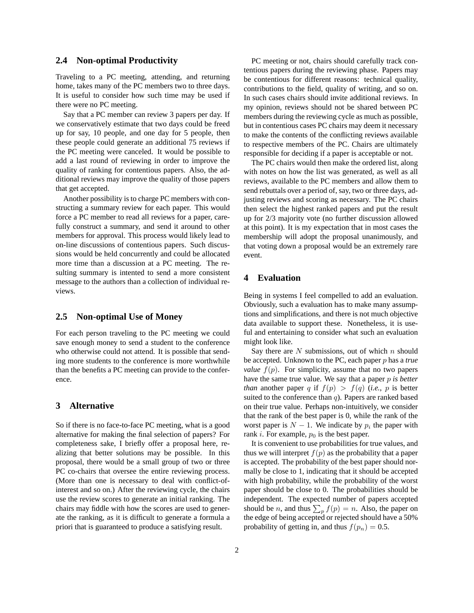# **2.4 Non-optimal Productivity**

Traveling to a PC meeting, attending, and returning home, takes many of the PC members two to three days. It is useful to consider how such time may be used if there were no PC meeting.

Say that a PC member can review 3 papers per day. If we conservatively estimate that two days could be freed up for say, 10 people, and one day for 5 people, then these people could generate an additional 75 reviews if the PC meeting were canceled. It would be possible to add a last round of reviewing in order to improve the quality of ranking for contentious papers. Also, the additional reviews may improve the quality of those papers that get accepted.

Another possibility is to charge PC members with constructing a summary review for each paper. This would force a PC member to read all reviews for a paper, carefully construct a summary, and send it around to other members for approval. This process would likely lead to on-line discussions of contentious papers. Such discussions would be held concurrently and could be allocated more time than a discussion at a PC meeting. The resulting summary is intented to send a more consistent message to the authors than a collection of individual reviews.

## **2.5 Non-optimal Use of Money**

For each person traveling to the PC meeting we could save enough money to send a student to the conference who otherwise could not attend. It is possible that sending more students to the conference is more worthwhile than the benefits a PC meeting can provide to the conference.

# **3 Alternative**

So if there is no face-to-face PC meeting, what is a good alternative for making the final selection of papers? For completeness sake, I briefly offer a proposal here, realizing that better solutions may be possible. In this proposal, there would be a small group of two or three PC co-chairs that oversee the entire reviewing process. (More than one is necessary to deal with conflict-ofinterest and so on.) After the reviewing cycle, the chairs use the review scores to generate an initial ranking. The chairs may fiddle with how the scores are used to generate the ranking, as it is difficult to generate a formula a priori that is guaranteed to produce a satisfying result.

PC meeting or not, chairs should carefully track contentious papers during the reviewing phase. Papers may be contentious for different reasons: technical quality, contributions to the field, quality of writing, and so on. In such cases chairs should invite additional reviews. In my opinion, reviews should not be shared between PC members during the reviewing cycle as much as possible, but in contentious cases PC chairs may deem it necessary to make the contents of the conflicting reviews available to respective members of the PC. Chairs are ultimately responsible for deciding if a paper is acceptable or not.

The PC chairs would then make the ordered list, along with notes on how the list was generated, as well as all reviews, available to the PC members and allow them to send rebuttals over a period of, say, two or three days, adjusting reviews and scoring as necessary. The PC chairs then select the highest ranked papers and put the result up for 2/3 majority vote (no further discussion allowed at this point). It is my expectation that in most cases the membership will adopt the proposal unanimously, and that voting down a proposal would be an extremely rare event.

## **4 Evaluation**

Being in systems I feel compelled to add an evaluation. Obviously, such a evaluation has to make many assumptions and simplifications, and there is not much objective data available to support these. Nonetheless, it is useful and entertaining to consider what such an evaluation might look like.

Say there are  $N$  submissions, out of which  $n$  should be accepted. Unknown to the PC, each paper p has a *true value*  $f(p)$ . For simplicity, assume that no two papers have the same true value. We say that a paper p *is better than* another paper q if  $f(p) > f(q)$  (*i.e.*, p is better suited to the conference than  $q$ ). Papers are ranked based on their true value. Perhaps non-intuitively, we consider that the rank of the best paper is 0, while the rank of the worst paper is  $N - 1$ . We indicate by  $p_i$  the paper with rank  $i$ . For example,  $p_0$  is the best paper.

It is convenient to use probabilities for true values, and thus we will interpret  $f(p)$  as the probability that a paper is accepted. The probability of the best paper should normally be close to 1, indicating that it should be accepted with high probability, while the probability of the worst paper should be close to 0. The probabilities should be independent. The expected number of papers accepted should be *n*, and thus  $\sum_{p} f(p) = n$ . Also, the paper on the edge of being accepted or rejected should have a 50% probability of getting in, and thus  $f(p_n) = 0.5$ .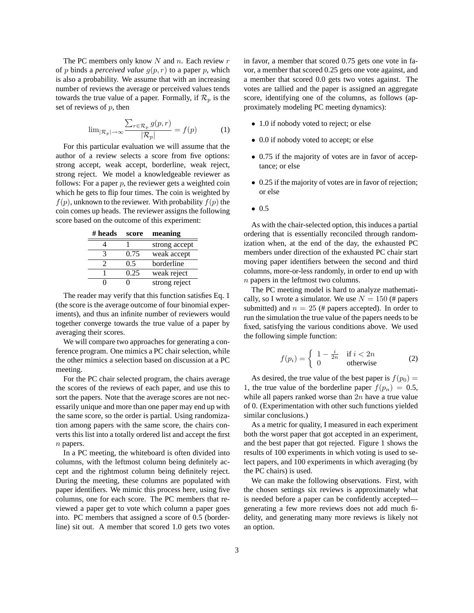The PC members only know  $N$  and  $n$ . Each review  $r$ of p binds a *perceived value*  $g(p, r)$  to a paper p, which is also a probability. We assume that with an increasing number of reviews the average or perceived values tends towards the true value of a paper. Formally, if  $\mathcal{R}_p$  is the set of reviews of  $p$ , then

$$
\lim_{|\mathcal{R}_p| \to \infty} \frac{\sum_{r \in \mathcal{R}_p} g(p, r)}{|\mathcal{R}_p|} = f(p) \tag{1}
$$

For this particular evaluation we will assume that the author of a review selects a score from five options: strong accept, weak accept, borderline, weak reject, strong reject. We model a knowledgeable reviewer as follows: For a paper  $p$ , the reviewer gets a weighted coin which he gets to flip four times. The coin is weighted by  $f(p)$ , unknown to the reviewer. With probability  $f(p)$  the coin comes up heads. The reviewer assigns the following score based on the outcome of this experiment:

**# heads score meaning**

|      | strong accept |
|------|---------------|
| 0.75 | weak accept   |
| 0.5  | borderline    |
| 0.25 | weak reject   |
|      | strong reject |

The reader may verify that this function satisfies Eq. 1 (the score is the average outcome of four binomial experiments), and thus an infinite number of reviewers would together converge towards the true value of a paper by averaging their scores.

We will compare two approaches for generating a conference program. One mimics a PC chair selection, while the other mimics a selection based on discussion at a PC meeting.

For the PC chair selected program, the chairs average the scores of the reviews of each paper, and use this to sort the papers. Note that the average scores are not necessarily unique and more than one paper may end up with the same score, so the order is partial. Using randomization among papers with the same score, the chairs converts this list into a totally ordered list and accept the first n papers.

In a PC meeting, the whiteboard is often divided into columns, with the leftmost column being definitely accept and the rightmost column being definitely reject. During the meeting, these columns are populated with paper identifiers. We mimic this process here, using five columns, one for each score. The PC members that reviewed a paper get to vote which column a paper goes into. PC members that assigned a score of 0.5 (borderline) sit out. A member that scored 1.0 gets two votes in favor, a member that scored 0.75 gets one vote in favor, a member that scored 0.25 gets one vote against, and a member that scored 0.0 gets two votes against. The votes are tallied and the paper is assigned an aggregate score, identifying one of the columns, as follows (approximately modeling PC meeting dynamics):

- 1.0 if nobody voted to reject; or else
- 0.0 if nobody voted to accept; or else
- 0.75 if the majority of votes are in favor of acceptance; or else
- 0.25 if the majority of votes are in favor of rejection; or else
- 0.5

As with the chair-selected option, this induces a partial ordering that is essentially reconciled through randomization when, at the end of the day, the exhausted PC members under direction of the exhausted PC chair start moving paper identifiers between the second and third columns, more-or-less randomly, in order to end up with n papers in the leftmost two columns.

The PC meeting model is hard to analyze mathematically, so I wrote a simulator. We use  $N = 150$  (# papers submitted) and  $n = 25$  (# papers accepted). In order to run the simulation the true value of the papers needs to be fixed, satisfying the various conditions above. We used the following simple function:

$$
f(p_i) = \begin{cases} 1 - \frac{i}{2n} & \text{if } i < 2n \\ 0 & \text{otherwise} \end{cases}
$$
 (2)

As desired, the true value of the best paper is  $f(p_0) =$ 1, the true value of the borderline paper  $f(p_n) = 0.5$ , while all papers ranked worse than  $2n$  have a true value of 0. (Experimentation with other such functions yielded similar conclusions.)

As a metric for quality, I measured in each experiment both the worst paper that got accepted in an experiment, and the best paper that got rejected. Figure 1 shows the results of 100 experiments in which voting is used to select papers, and 100 experiments in which averaging (by the PC chairs) is used.

We can make the following observations. First, with the chosen settings six reviews is approximately what is needed before a paper can be confidently accepted generating a few more reviews does not add much fidelity, and generating many more reviews is likely not an option.